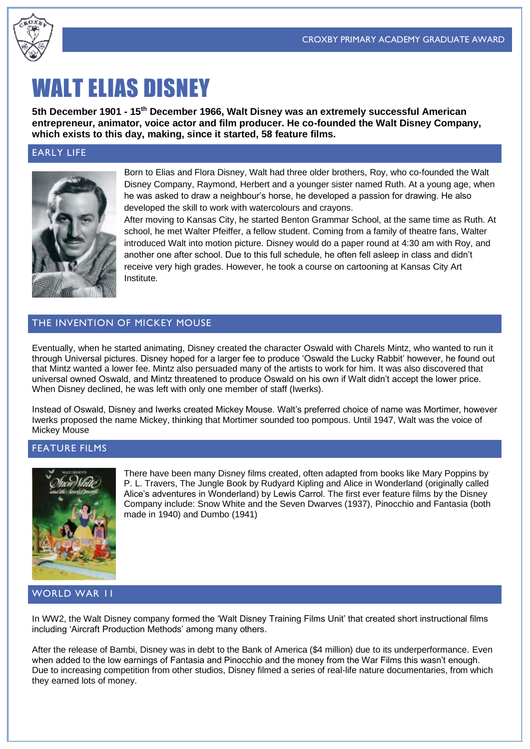

# WALT ELIAS DISNEY

**5th December 1901 - 15th December 1966, Walt Disney was an extremely successful American entrepreneur, animator, voice actor and film producer. He co-founded the Walt Disney Company, which exists to this day, making, since it started, 58 feature films.**

# EARLY LIFE



Born to Elias and Flora Disney, Walt had three older brothers, Roy, who co-founded the Walt Disney Company, Raymond, Herbert and a younger sister named Ruth. At a young age, when he was asked to draw a neighbour's horse, he developed a passion for drawing. He also developed the skill to work with watercolours and crayons.

After moving to Kansas City, he started Benton Grammar School, at the same time as Ruth. At school, he met Walter Pfeiffer, a fellow student. Coming from a family of theatre fans, Walter introduced Walt into motion picture. Disney would do a paper round at 4:30 am with Roy, and another one after school. Due to this full schedule, he often fell asleep in class and didn't receive very high grades. However, he took a course on cartooning at Kansas City Art Institute.

# THE INVENTION OF MICKEY MOUSE

Eventually, when he started animating, Disney created the character Oswald with Charels Mintz, who wanted to run it through Universal pictures. Disney hoped for a larger fee to produce 'Oswald the Lucky Rabbit' however, he found out that Mintz wanted a lower fee. Mintz also persuaded many of the artists to work for him. It was also discovered that universal owned Oswald, and Mintz threatened to produce Oswald on his own if Walt didn't accept the lower price. When Disney declined, he was left with only one member of staff (Iwerks).

Instead of Oswald, Disney and Iwerks created Mickey Mouse. Walt's preferred choice of name was Mortimer, however Iwerks proposed the name Mickey, thinking that Mortimer sounded too pompous. Until 1947, Walt was the voice of Mickey Mouse

# FEATURE FILMS



There have been many Disney films created, often adapted from books like Mary Poppins by P. L. Travers, The Jungle Book by Rudyard Kipling and Alice in Wonderland (originally called Alice's adventures in Wonderland) by Lewis Carrol. The first ever feature films by the Disney Company include: Snow White and the Seven Dwarves (1937), Pinocchio and Fantasia (both made in 1940) and Dumbo (1941)

#### WORLD WAR II

In WW2, the Walt Disney company formed the 'Walt Disney Training Films Unit' that created short instructional films including 'Aircraft Production Methods' among many others.

After the release of Bambi, Disney was in debt to the Bank of America (\$4 million) due to its underperformance. Even when added to the low earnings of Fantasia and Pinocchio and the money from the War Films this wasn't enough. Due to increasing competition from other studios, Disney filmed a series of real-life nature documentaries, from which they earned lots of money.